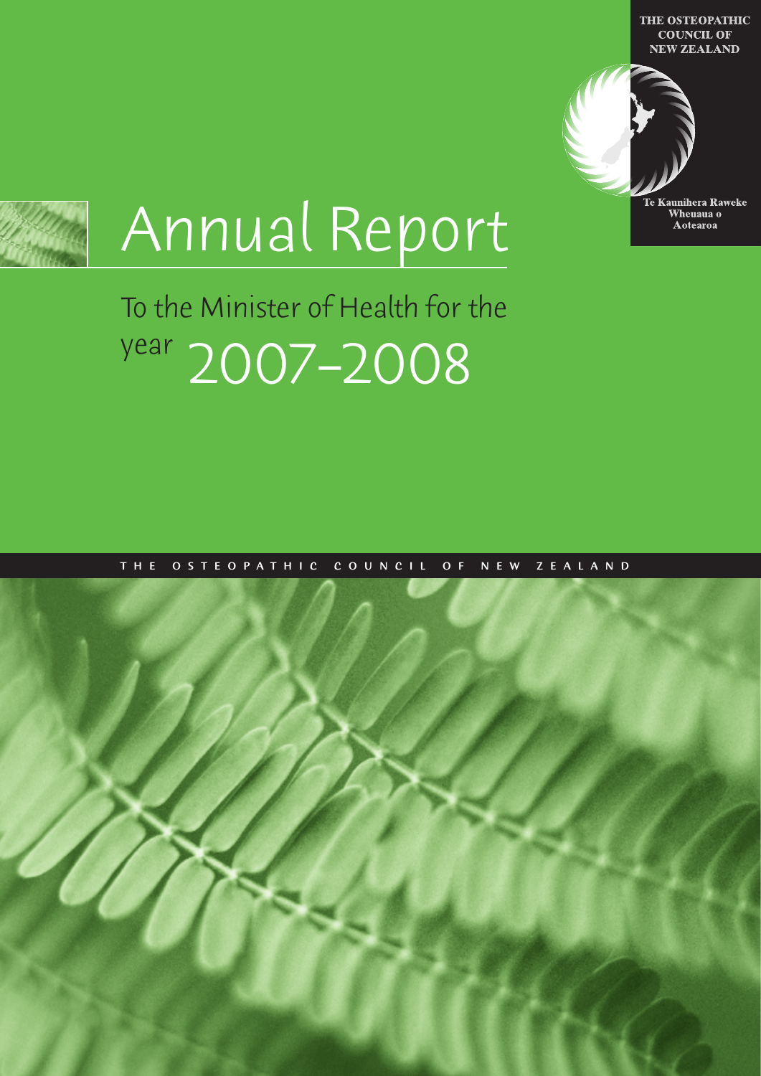THE OSTEOPATHIC **COUNCIL OF NEW ZEALAND** 





# Annual Report

## To the Minister of Health for the year 2007–2008

#### THE OSTEOPATHIC COUNCIL OF NEW ZEALAND

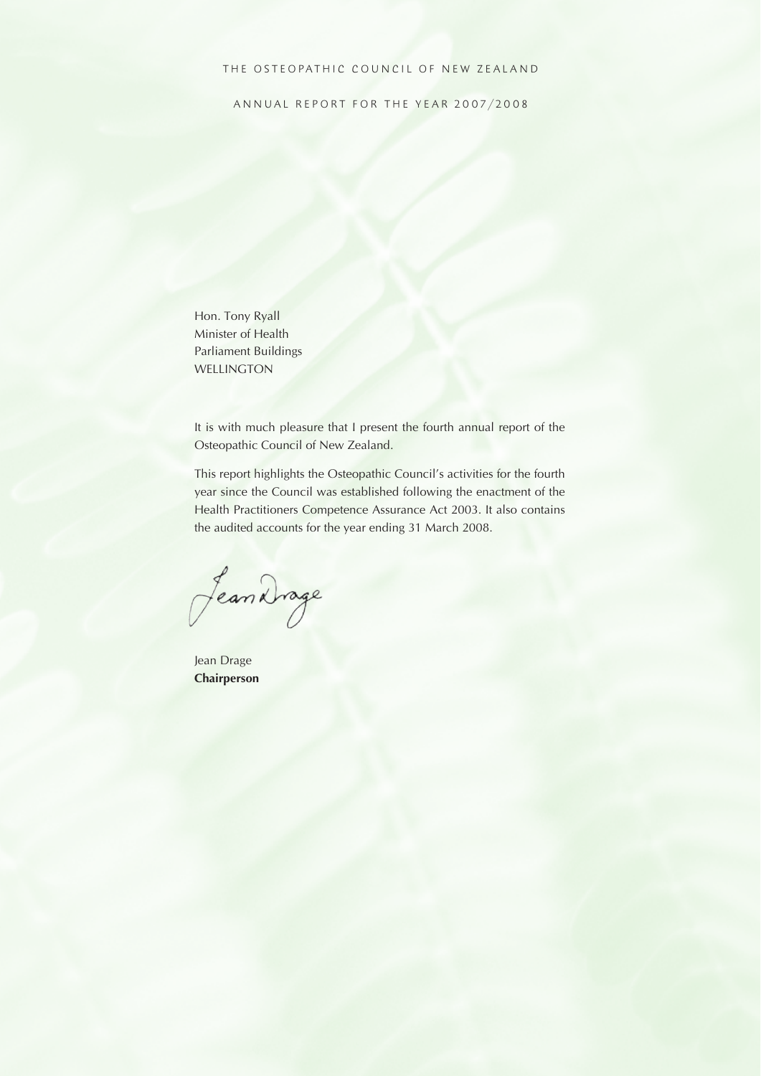#### THE OSTEOPATHIC COUNCIL OF NEW ZEALAND

ANNUAL REPORT FOR THE YEAR 2007/2008

Hon. Tony Ryall Minister of Health Parliament Buildings WELLINGTON

It is with much pleasure that I present the fourth annual report of the Osteopathic Council of New Zealand.

This report highlights the Osteopathic Council's activities for the fourth year since the Council was established following the enactment of the Health Practitioners Competence Assurance Act 2003. It also contains the audited accounts for the year ending 31 March 2008.

Jean Drage

Jean Drage **Chairperson**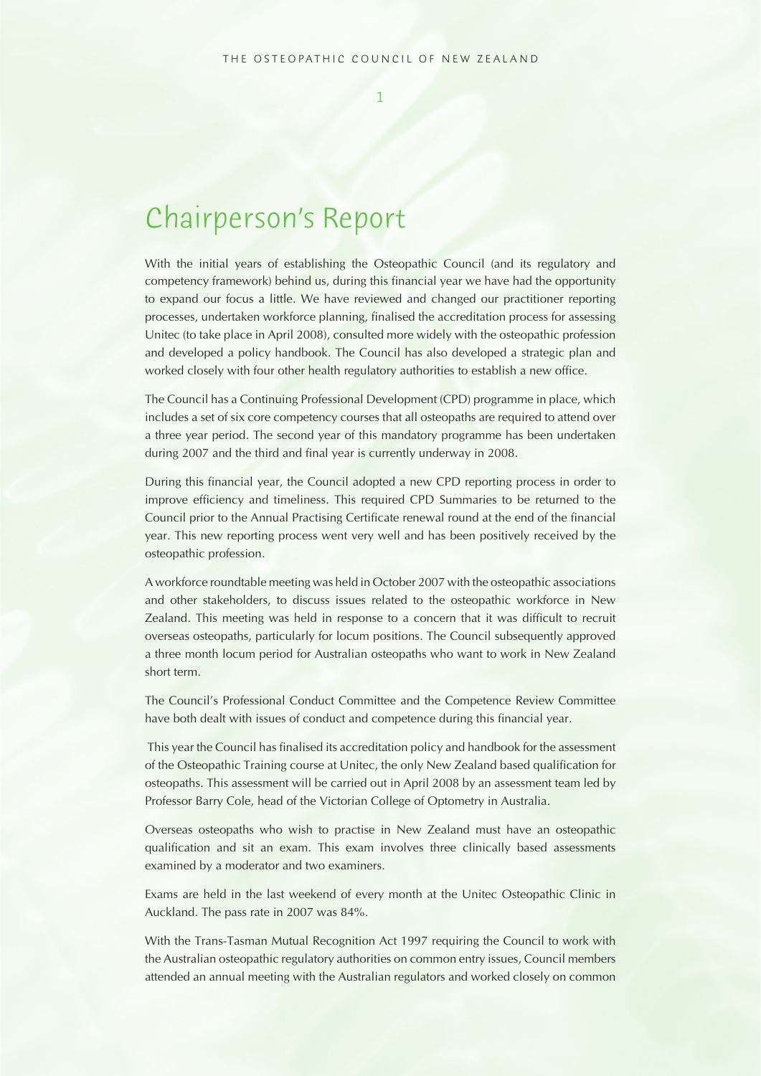## Chairperson's Report

With the initial years of establishing the Osteopathic Council (and its regulatory and competency framework) behind us, during this financial year we have had the opportunity to expand our focus a little. We have reviewed and changed our practitioner reporting processes, undertaken workforce planning, finalised the accreditation process for assessing Unitec (to take place in April 2008), consulted more widely with the osteopathic profession and developed a policy handbook. The Council has also developed a strategic plan and worked closely with four other health regulatory authorities to establish a new office.

The Council has a Continuing Professional Development (CPD) programme in place, which includes a set of six core competency courses that all osteopaths are required to attend over a three year period. The second year of this mandatory programme has been undertaken during 2007 and the third and final year is currently underway in 2008.

During this financial year, the Council adopted a new CPD reporting process in order to improve efficiency and timeliness. This required CPD Summaries to be returned to the Council prior to the Annual Practising Certificate renewal round at the end of the financial year. This new reporting process went very well and has been positively received by the osteopathic profession.

A workforce roundtable meeting was held in October 2007 with the osteopathic associations and other stakeholders, to discuss issues related to the osteopathic workforce in New Zealand. This meeting was held in response to a concern that it was difficult to recruit overseas osteopaths, particularly for locum positions. The Council subsequently approved a three month locum period for Australian osteopaths who want to work in New Zealand short term.

The Council's Professional Conduct Committee and the Competence Review Committee have both dealt with issues of conduct and competence during this financial year.

 This year the Council has finalised its accreditation policy and handbook for the assessment of the Osteopathic Training course at Unitec, the only New Zealand based qualification for osteopaths. This assessment will be carried out in April 2008 by an assessment team led by Professor Barry Cole, head of the Victorian College of Optometry in Australia.

Overseas osteopaths who wish to practise in New Zealand must have an osteopathic qualification and sit an exam. This exam involves three clinically based assessments examined by a moderator and two examiners.

Exams are held in the last weekend of every month at the Unitec Osteopathic Clinic in Auckland. The pass rate in 2007 was 84%.

With the Trans-Tasman Mutual Recognition Act 1997 requiring the Council to work with the Australian osteopathic regulatory authorities on common entry issues, Council members attended an annual meeting with the Australian regulators and worked closely on common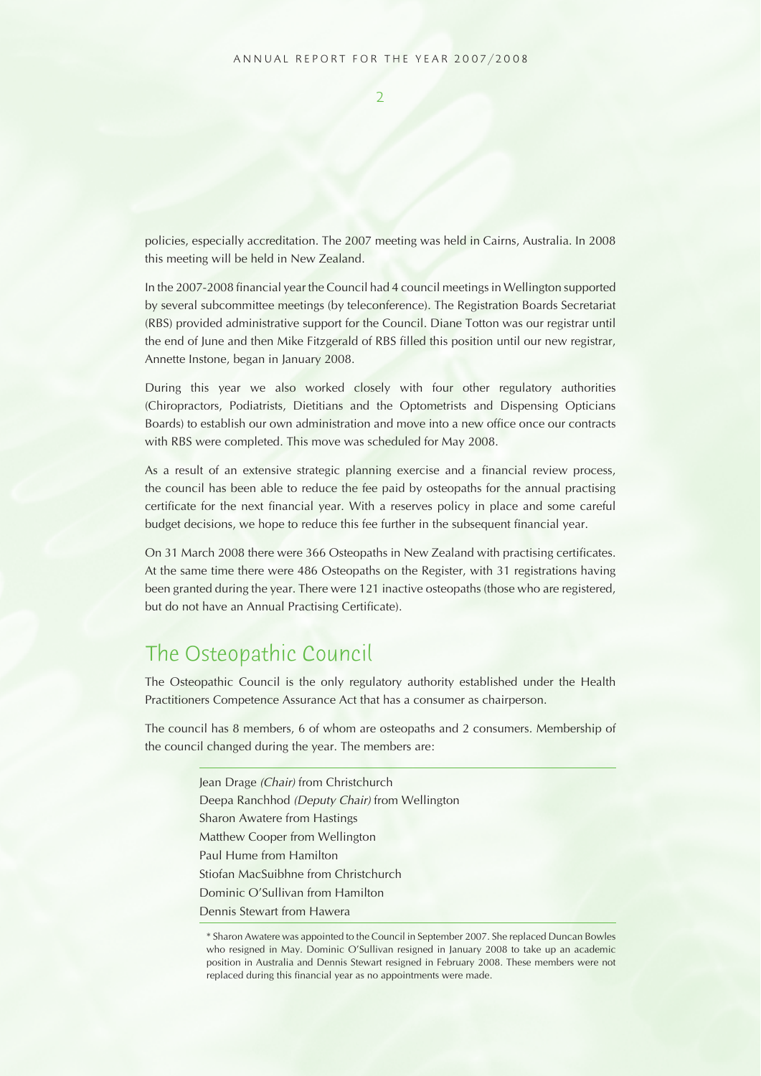$\overline{2}$ 

policies, especially accreditation. The 2007 meeting was held in Cairns, Australia. In 2008 this meeting will be held in New Zealand.

In the 2007-2008 financial year the Council had 4 council meetings in Wellington supported by several subcommittee meetings (by teleconference). The Registration Boards Secretariat (RBS) provided administrative support for the Council. Diane Totton was our registrar until the end of June and then Mike Fitzgerald of RBS filled this position until our new registrar, Annette Instone, began in January 2008.

During this year we also worked closely with four other regulatory authorities (Chiropractors, Podiatrists, Dietitians and the Optometrists and Dispensing Opticians Boards) to establish our own administration and move into a new office once our contracts with RBS were completed. This move was scheduled for May 2008.

As a result of an extensive strategic planning exercise and a financial review process, the council has been able to reduce the fee paid by osteopaths for the annual practising certificate for the next financial year. With a reserves policy in place and some careful budget decisions, we hope to reduce this fee further in the subsequent financial year.

On 31 March 2008 there were 366 Osteopaths in New Zealand with practising certificates. At the same time there were 486 Osteopaths on the Register, with 31 registrations having been granted during the year. There were 121 inactive osteopaths (those who are registered, but do not have an Annual Practising Certificate).

## The Osteopathic Council

The Osteopathic Council is the only regulatory authority established under the Health Practitioners Competence Assurance Act that has a consumer as chairperson.

The council has 8 members, 6 of whom are osteopaths and 2 consumers. Membership of the council changed during the year. The members are:

> Jean Drage (Chair) from Christchurch Deepa Ranchhod (Deputy Chair) from Wellington Sharon Awatere from Hastings Matthew Cooper from Wellington Paul Hume from Hamilton Stiofan MacSuibhne from Christchurch Dominic O'Sullivan from Hamilton Dennis Stewart from Hawera

<sup>\*</sup> Sharon Awatere was appointed to the Council in September 2007. She replaced Duncan Bowles who resigned in May. Dominic O'Sullivan resigned in January 2008 to take up an academic position in Australia and Dennis Stewart resigned in February 2008. These members were not replaced during this financial year as no appointments were made.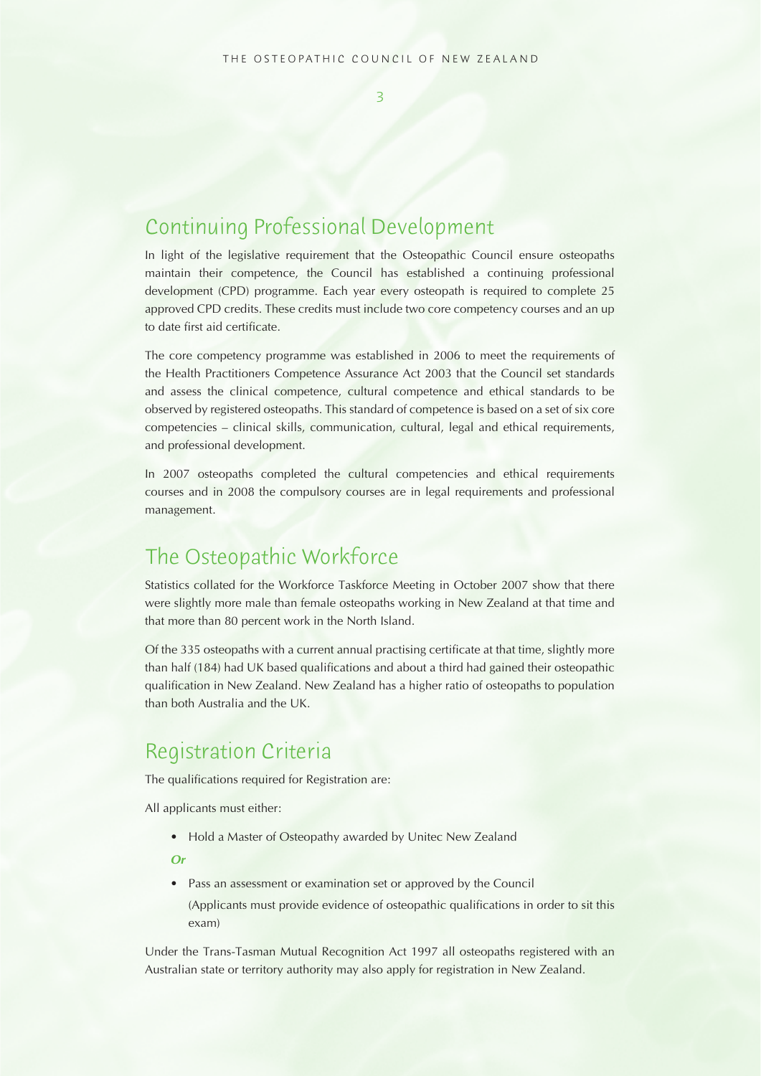$\overline{2}$ 

## Continuing Professional Development

In light of the legislative requirement that the Osteopathic Council ensure osteopaths maintain their competence, the Council has established a continuing professional development (CPD) programme. Each year every osteopath is required to complete 25 approved CPD credits. These credits must include two core competency courses and an up to date first aid certificate.

The core competency programme was established in 2006 to meet the requirements of the Health Practitioners Competence Assurance Act 2003 that the Council set standards and assess the clinical competence, cultural competence and ethical standards to be observed by registered osteopaths. This standard of competence is based on a set of six core competencies – clinical skills, communication, cultural, legal and ethical requirements, and professional development.

In 2007 osteopaths completed the cultural competencies and ethical requirements courses and in 2008 the compulsory courses are in legal requirements and professional management.

## The Osteopathic Workforce

Statistics collated for the Workforce Taskforce Meeting in October 2007 show that there were slightly more male than female osteopaths working in New Zealand at that time and that more than 80 percent work in the North Island.

Of the 335 osteopaths with a current annual practising certificate at that time, slightly more than half (184) had UK based qualifications and about a third had gained their osteopathic qualification in New Zealand. New Zealand has a higher ratio of osteopaths to population than both Australia and the UK.

### Registration Criteria

The qualifications required for Registration are:

All applicants must either:

• Hold a Master of Osteopathy awarded by Unitec New Zealand

 **Or**

• Pass an assessment or examination set or approved by the Council

(Applicants must provide evidence of osteopathic qualifications in order to sit this exam)

Under the Trans-Tasman Mutual Recognition Act 1997 all osteopaths registered with an Australian state or territory authority may also apply for registration in New Zealand.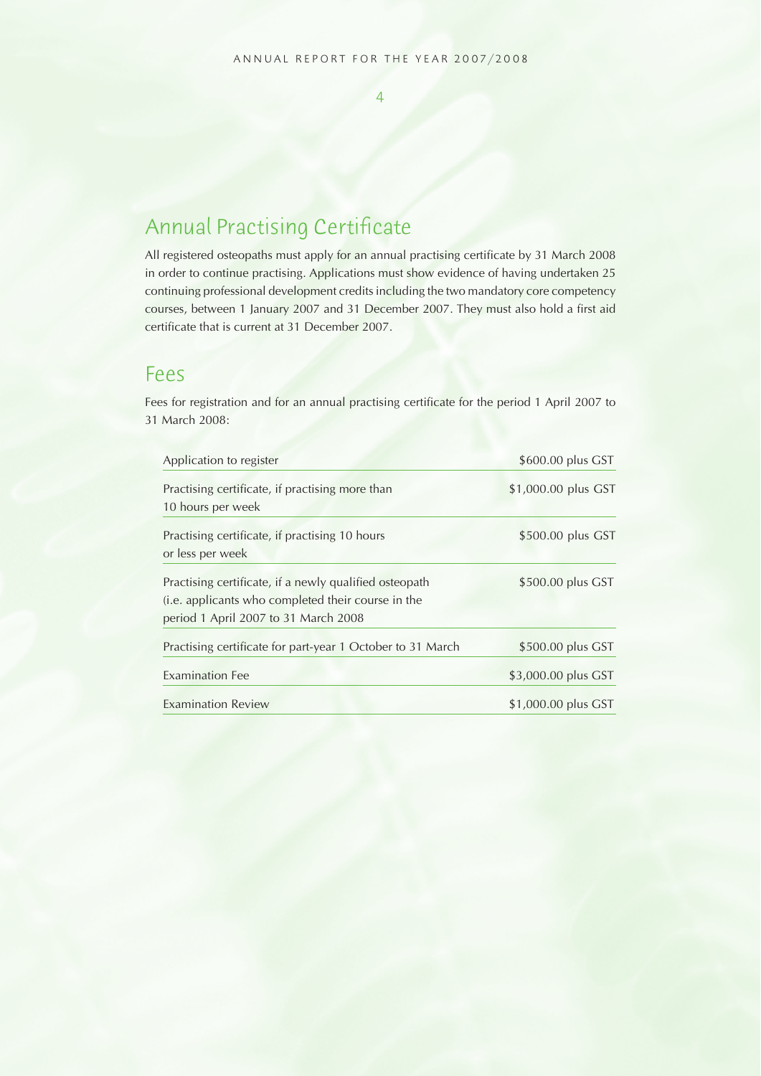#### $\overline{A}$

## Annual Practising Certificate

All registered osteopaths must apply for an annual practising certificate by 31 March 2008 in order to continue practising. Applications must show evidence of having undertaken 25 continuing professional development credits including the two mandatory core competency courses, between 1 January 2007 and 31 December 2007. They must also hold a first aid certificate that is current at 31 December 2007.

#### Fees

Fees for registration and for an annual practising certificate for the period 1 April 2007 to 31 March 2008:

| Application to register                                              | \$600.00 plus GST   |
|----------------------------------------------------------------------|---------------------|
| Practising certificate, if practising more than<br>10 hours per week | \$1,000.00 plus GST |
| Practising certificate, if practising 10 hours                       | \$500.00 plus GST   |
| or less per week                                                     |                     |
| Practising certificate, if a newly qualified osteopath               | \$500.00 plus GST   |
| (i.e. applicants who completed their course in the                   |                     |
| period 1 April 2007 to 31 March 2008                                 |                     |
| Practising certificate for part-year 1 October to 31 March           | \$500.00 plus GST   |
| <b>Examination Fee</b>                                               | \$3,000.00 plus GST |
| <b>Examination Review</b>                                            | \$1,000.00 plus GST |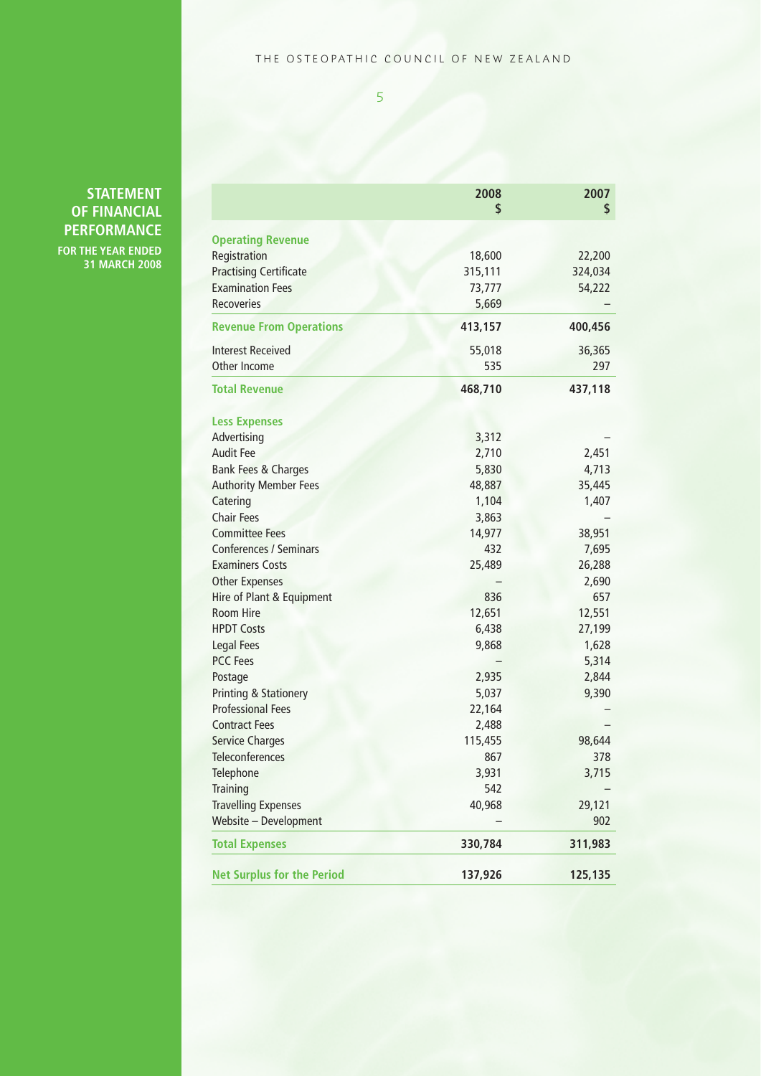#### THE OSTEOPATHIC COUNCIL OF NEW ZEALAND

5

| <b>STATEMENT</b>    |
|---------------------|
| <b>OF FINANCIAL</b> |
| <b>PERFORMANCE</b>  |

**FOR THE YEAR ENDED 31 MARCH 2008**

|                                   | 2008<br>\$ | 2007<br>\$ |
|-----------------------------------|------------|------------|
| <b>Operating Revenue</b>          |            |            |
| Registration                      | 18,600     | 22,200     |
| <b>Practising Certificate</b>     | 315,111    | 324,034    |
| <b>Examination Fees</b>           | 73,777     | 54,222     |
| Recoveries                        | 5,669      |            |
| <b>Revenue From Operations</b>    | 413,157    | 400,456    |
| <b>Interest Received</b>          | 55,018     | 36,365     |
| Other Income                      | 535        | 297        |
| <b>Total Revenue</b>              | 468,710    | 437,118    |
| <b>Less Expenses</b>              |            |            |
| Advertising                       | 3,312      |            |
| Audit Fee                         | 2,710      | 2,451      |
| <b>Bank Fees &amp; Charges</b>    | 5,830      | 4,713      |
| <b>Authority Member Fees</b>      | 48,887     | 35,445     |
| Catering                          | 1,104      | 1,407      |
| <b>Chair Fees</b>                 | 3,863      |            |
| <b>Committee Fees</b>             | 14,977     | 38,951     |
| <b>Conferences / Seminars</b>     | 432        | 7,695      |
| <b>Examiners Costs</b>            | 25,489     | 26,288     |
| <b>Other Expenses</b>             |            | 2,690      |
| Hire of Plant & Equipment         | 836        | 657        |
| Room Hire                         | 12,651     | 12,551     |
| <b>HPDT Costs</b>                 | 6,438      | 27,199     |
| <b>Legal Fees</b>                 | 9,868      | 1,628      |
| <b>PCC Fees</b>                   |            | 5,314      |
| Postage                           | 2,935      | 2,844      |
| <b>Printing &amp; Stationery</b>  | 5,037      | 9,390      |
| <b>Professional Fees</b>          | 22,164     |            |
| <b>Contract Fees</b>              | 2,488      |            |
| <b>Service Charges</b>            | 115,455    | 98,644     |
| Teleconferences                   | 867        | 378        |
| Telephone                         | 3,931      | 3,715      |
| Training                          | 542        |            |
| <b>Travelling Expenses</b>        | 40,968     | 29,121     |
| Website - Development             |            | 902        |
| <b>Total Expenses</b>             | 330,784    | 311,983    |
| <b>Net Surplus for the Period</b> | 137,926    | 125,135    |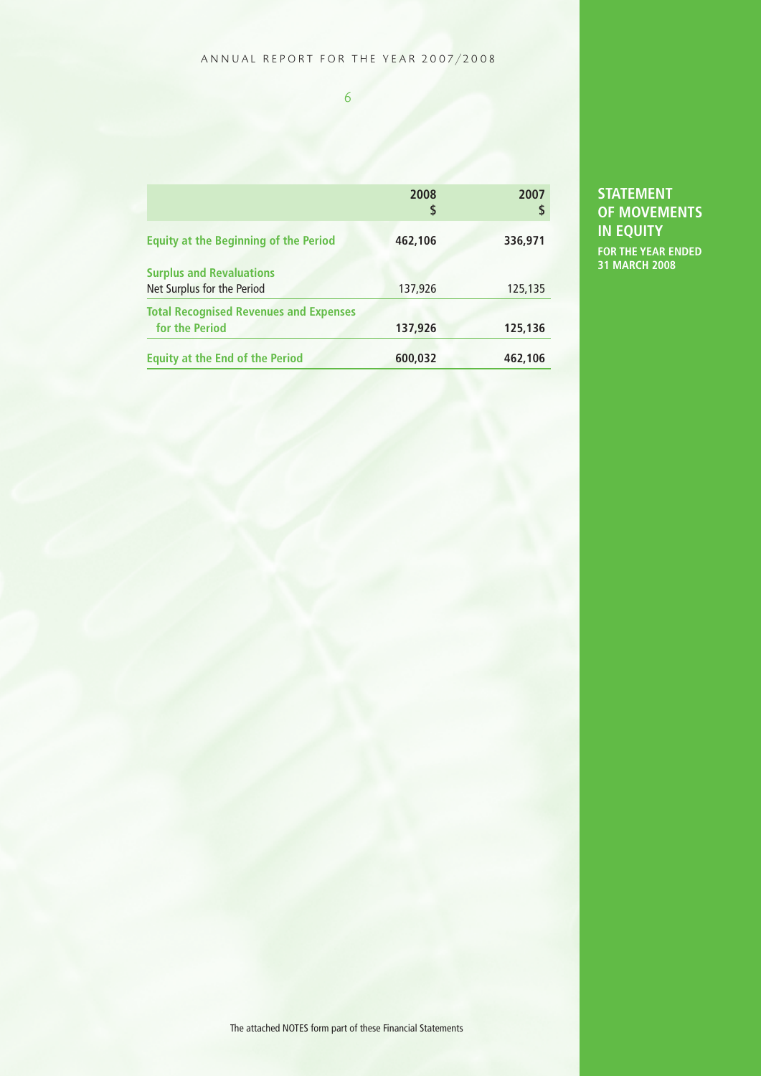#### ANNUAL REPORT FOR THE YEAR 2007/2008

6

|                                                                 | 2008<br>\$ | 2007<br>\$ |
|-----------------------------------------------------------------|------------|------------|
| <b>Equity at the Beginning of the Period</b>                    | 462,106    | 336,971    |
| <b>Surplus and Revaluations</b><br>Net Surplus for the Period   | 137,926    | 125,135    |
| <b>Total Recognised Revenues and Expenses</b><br>for the Period | 137,926    | 125,136    |
| <b>Equity at the End of the Period</b>                          | 600,032    | 462,106    |

#### **STATEMENT OF MOVEMENTS IN EQUITY**

**FOR THE YEAR ENDED 31 MARCH 2008**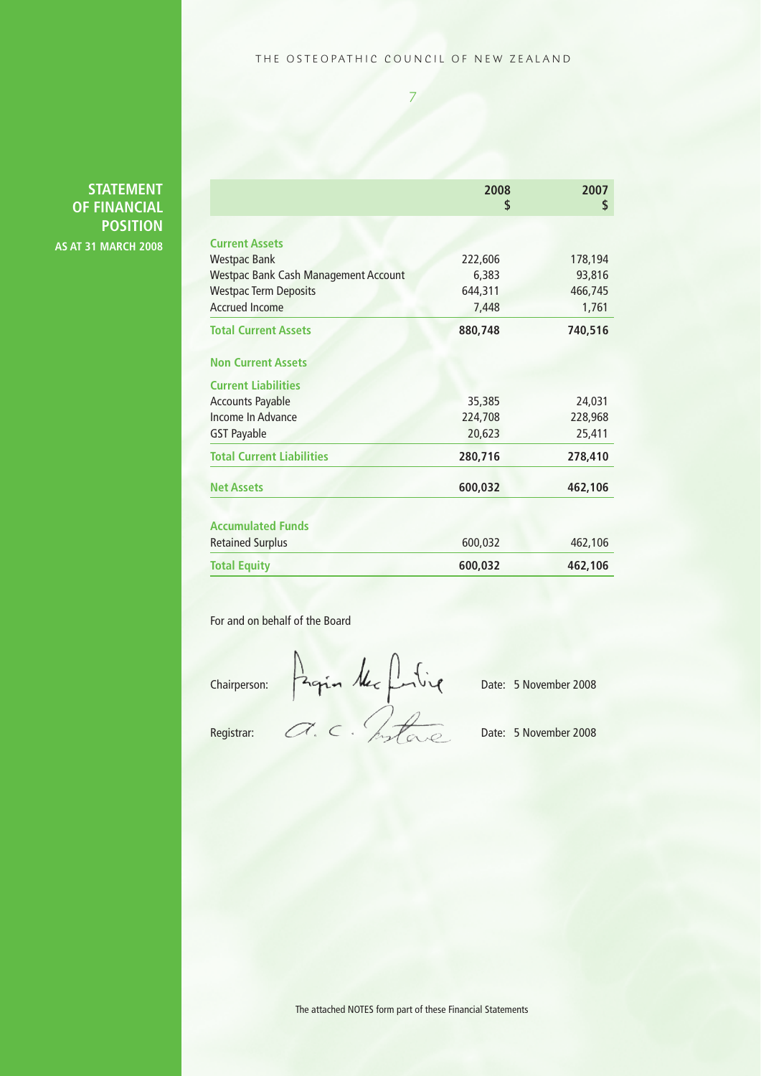#### THE OSTEOPATHIC COUNCIL OF NEW ZEALAND

7

#### **STATEMENT OF FINANCIAL POSITION AS AT 31 MARCH 2008**

|                                             | 2008<br>\$ | 2007<br>\$ |  |
|---------------------------------------------|------------|------------|--|
|                                             |            |            |  |
| <b>Current Assets</b>                       |            |            |  |
| <b>Westpac Bank</b>                         | 222,606    | 178,194    |  |
| <b>Westpac Bank Cash Management Account</b> | 6,383      | 93,816     |  |
| <b>Westpac Term Deposits</b>                | 644,311    | 466,745    |  |
| <b>Accrued Income</b>                       | 7,448      | 1,761      |  |
| <b>Total Current Assets</b>                 | 880,748    | 740,516    |  |
| <b>Non Current Assets</b>                   |            |            |  |
| <b>Current Liabilities</b>                  |            |            |  |
| <b>Accounts Payable</b>                     | 35,385     | 24,031     |  |
| Income In Advance                           | 224,708    | 228,968    |  |
| <b>GST Payable</b>                          | 20,623     | 25,411     |  |
| <b>Total Current Liabilities</b>            | 280,716    | 278,410    |  |
| <b>Net Assets</b>                           | 600,032    | 462,106    |  |
| <b>Accumulated Funds</b>                    |            |            |  |
| <b>Retained Surplus</b>                     | 600,032    | 462,106    |  |
| <b>Total Equity</b>                         | 600,032    | 462,106    |  |

For and on behalf of the Board

Chairperson: Date: 5 November 2008

Registrar:  $\mathcal{A} \subseteq \mathcal{A}$ ,  $\mathcal{A} \subseteq \mathcal{A}$ 

The attached NOTES form part of these Financial Statements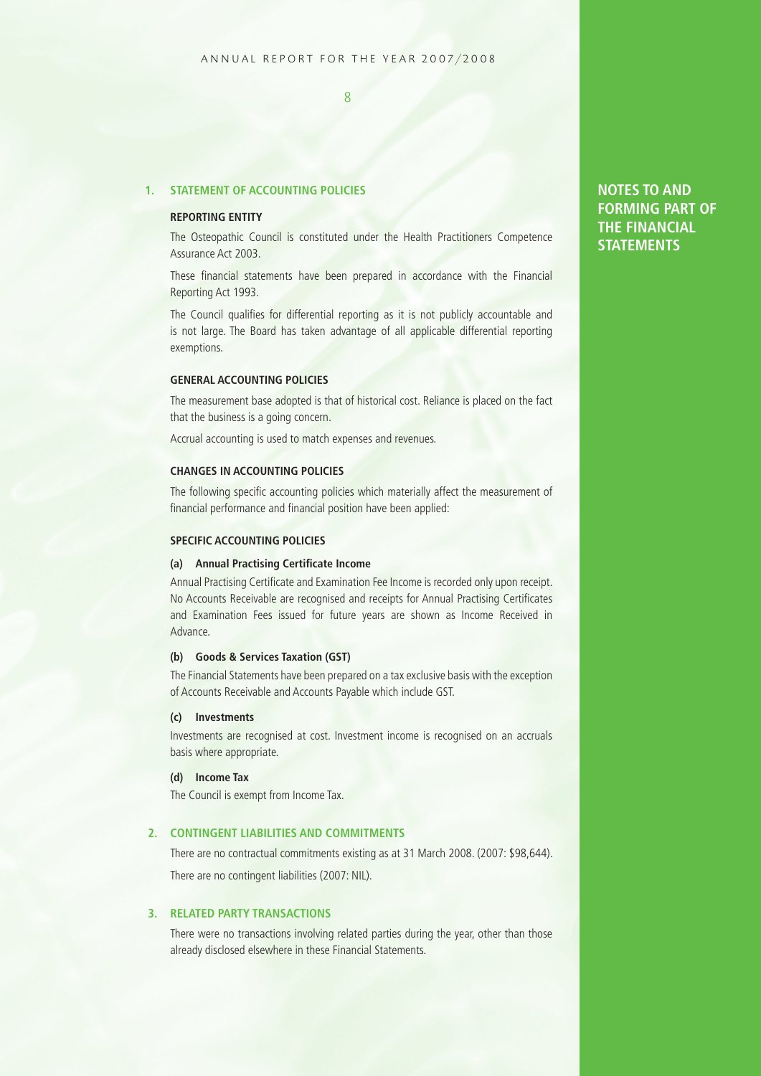#### **1. STATEMENT OF ACCOUNTING POLICIES**

#### **REPORTING ENTITY**

The Osteopathic Council is constituted under the Health Practitioners Competence Assurance Act 2003.

These financial statements have been prepared in accordance with the Financial Reporting Act 1993.

The Council qualifies for differential reporting as it is not publicly accountable and is not large. The Board has taken advantage of all applicable differential reporting exemptions.

#### **GENERAL ACCOUNTING POLICIES**

The measurement base adopted is that of historical cost. Reliance is placed on the fact that the business is a going concern.

Accrual accounting is used to match expenses and revenues.

#### **CHANGES IN ACCOUNTING POLICIES**

The following specific accounting policies which materially affect the measurement of financial performance and financial position have been applied:

#### **SPECIFIC ACCOUNTING POLICIES**

#### **(a) Annual Practising Certificate Income**

Annual Practising Certificate and Examination Fee Income is recorded only upon receipt. No Accounts Receivable are recognised and receipts for Annual Practising Certificates and Examination Fees issued for future years are shown as Income Received in Advance.

#### **(b) Goods & Services Taxation (GST)**

The Financial Statements have been prepared on a tax exclusive basis with the exception of Accounts Receivable and Accounts Payable which include GST.

#### **(c) Investments**

Investments are recognised at cost. Investment income is recognised on an accruals basis where appropriate.

#### **(d) Income Tax**

The Council is exempt from Income Tax.

#### **2. CONTINGENT LIABILITIES AND COMMITMENTS**

There are no contractual commitments existing as at 31 March 2008. (2007: \$98,644). There are no contingent liabilities (2007: NIL).

#### **3. RELATED PARTY TRANSACTIONS**

There were no transactions involving related parties during the year, other than those already disclosed elsewhere in these Financial Statements.

#### **NOTES TO AND FORMING PART OF THE FINANCIAL STATEMENTS**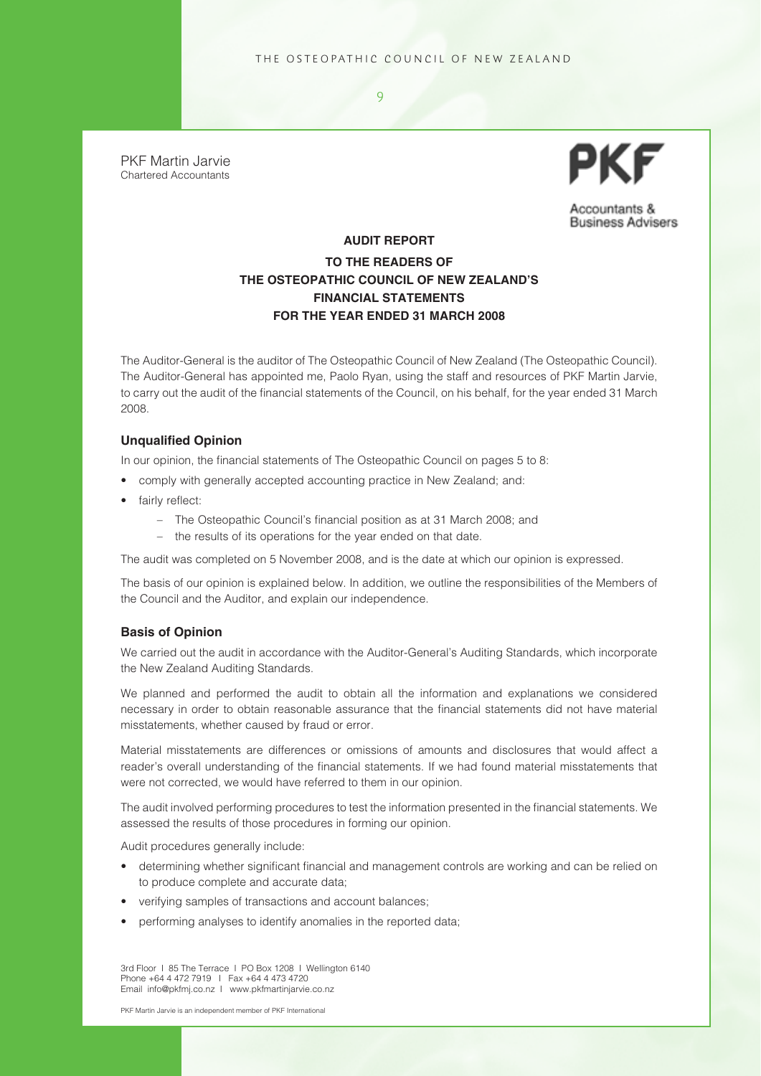$\overline{Q}$ 

PKF Martin Jarvie Chartered Accountants



Accountants & **Business Advisers** 

#### **AUDIT REPORT TO THE READERS OF THE OSTEOPATHIC COUNCIL OF NEW ZEALAND'S FINANCIAL STATEMENTS FOR THE YEAR ENDED 31 MARCH 2008**

The Auditor-General is the auditor of The Osteopathic Council of New Zealand (The Osteopathic Council). The Auditor-General has appointed me, Paolo Ryan, using the staff and resources of PKF Martin Jarvie, to carry out the audit of the financial statements of the Council, on his behalf, for the year ended 31 March 2008.

#### **Unqualified Opinion**

In our opinion, the financial statements of The Osteopathic Council on pages 5 to 8:

- comply with generally accepted accounting practice in New Zealand; and:
- fairly reflect:
	- The Osteopathic Council's financial position as at 31 March 2008; and
	- the results of its operations for the year ended on that date.

The audit was completed on 5 November 2008, and is the date at which our opinion is expressed.

The basis of our opinion is explained below. In addition, we outline the responsibilities of the Members of the Council and the Auditor, and explain our independence.

#### **Basis of Opinion**

We carried out the audit in accordance with the Auditor-General's Auditing Standards, which incorporate the New Zealand Auditing Standards.

We planned and performed the audit to obtain all the information and explanations we considered necessary in order to obtain reasonable assurance that the financial statements did not have material misstatements, whether caused by fraud or error.

Material misstatements are differences or omissions of amounts and disclosures that would affect a reader's overall understanding of the financial statements. If we had found material misstatements that were not corrected, we would have referred to them in our opinion.

The audit involved performing procedures to test the information presented in the financial statements. We assessed the results of those procedures in forming our opinion.

Audit procedures generally include:

- determining whether significant financial and management controls are working and can be relied on to produce complete and accurate data;
- verifying samples of transactions and account balances;
- performing analyses to identify anomalies in the reported data;

3rd Floor I 85 The Terrace I PO Box 1208 I Wellington 6140 Phone +64 4 472 7919 I Fax +64 4 473 4720 Email info@pkfmj.co.nz I www.pkfmartinjarvie.co.nz

PKF Martin Jarvie is an independent member of PKF International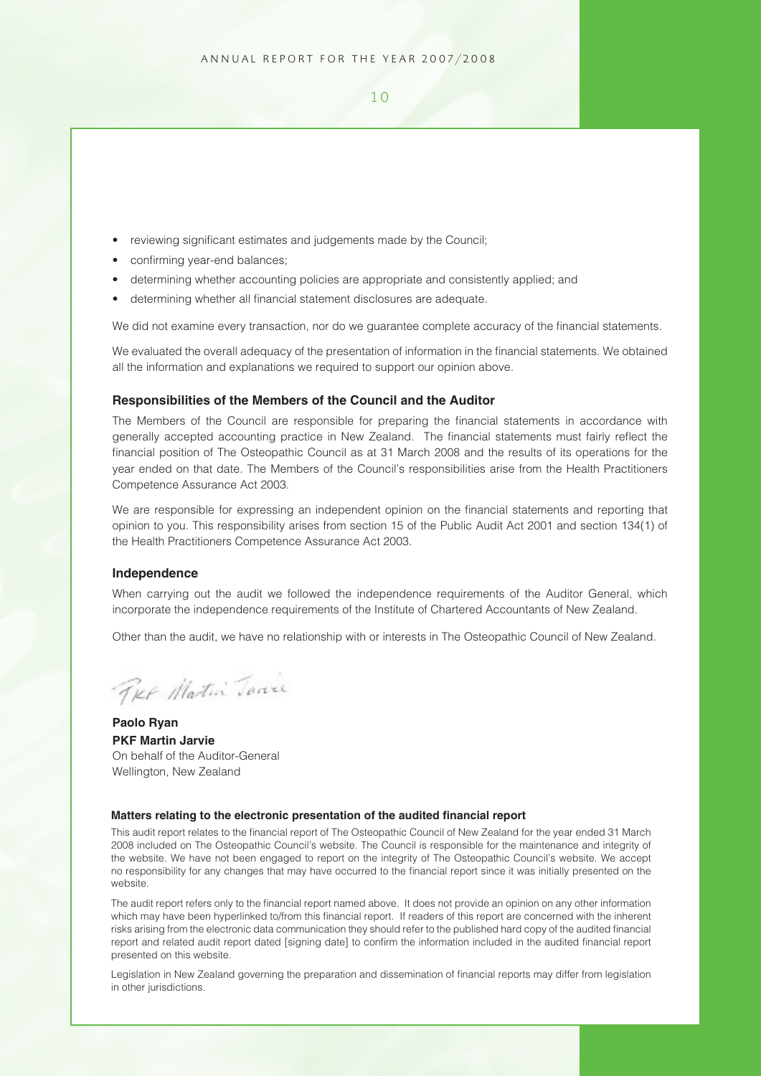- reviewing significant estimates and judgements made by the Council;
- confirming year-end balances;
- determining whether accounting policies are appropriate and consistently applied; and
- determining whether all financial statement disclosures are adequate.

We did not examine every transaction, nor do we guarantee complete accuracy of the financial statements.

We evaluated the overall adequacy of the presentation of information in the financial statements. We obtained all the information and explanations we required to support our opinion above.

#### **Responsibilities of the Members of the Council and the Auditor**

The Members of the Council are responsible for preparing the financial statements in accordance with generally accepted accounting practice in New Zealand. The financial statements must fairly reflect the financial position of The Osteopathic Council as at 31 March 2008 and the results of its operations for the year ended on that date. The Members of the Council's responsibilities arise from the Health Practitioners Competence Assurance Act 2003.

We are responsible for expressing an independent opinion on the financial statements and reporting that opinion to you. This responsibility arises from section 15 of the Public Audit Act 2001 and section 134(1) of the Health Practitioners Competence Assurance Act 2003.

#### **Independence**

When carrying out the audit we followed the independence requirements of the Auditor General, which incorporate the independence requirements of the Institute of Chartered Accountants of New Zealand.

Other than the audit, we have no relationship with or interests in The Osteopathic Council of New Zealand.

Ter Matin Tare

**Paolo Ryan PKF Martin Jarvie** On behalf of the Auditor-General Wellington, New Zealand

#### **Matters relating to the electronic presentation of the audited financial report**

This audit report relates to the financial report of The Osteopathic Council of New Zealand for the year ended 31 March 2008 included on The Osteopathic Council's website. The Council is responsible for the maintenance and integrity of the website. We have not been engaged to report on the integrity of The Osteopathic Council's website. We accept no responsibility for any changes that may have occurred to the financial report since it was initially presented on the website.

The audit report refers only to the financial report named above. It does not provide an opinion on any other information which may have been hyperlinked to/from this financial report. If readers of this report are concerned with the inherent risks arising from the electronic data communication they should refer to the published hard copy of the audited financial report and related audit report dated [signing date] to confirm the information included in the audited financial report presented on this website.

Legislation in New Zealand governing the preparation and dissemination of financial reports may differ from legislation in other jurisdictions.